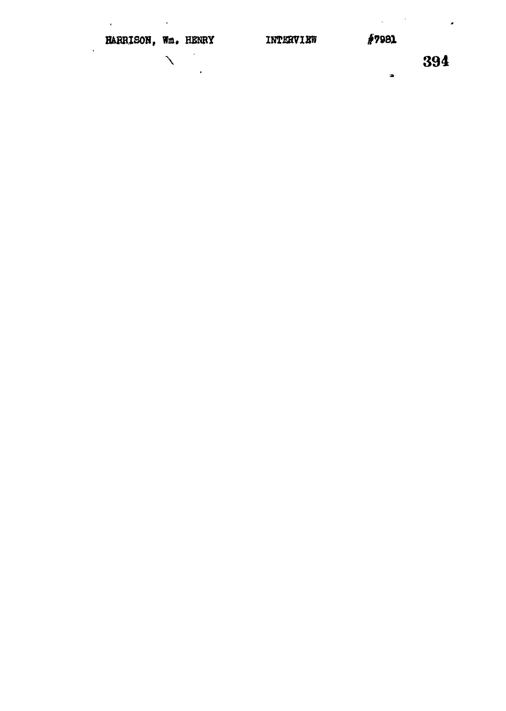$\bar{\mathbf{A}}$ 

 $\ddot{\phantom{0}}$ 

 $\ddot{\phantom{0}}$ 

 $\ddot{\bullet}$ 

394

 $\overline{a}$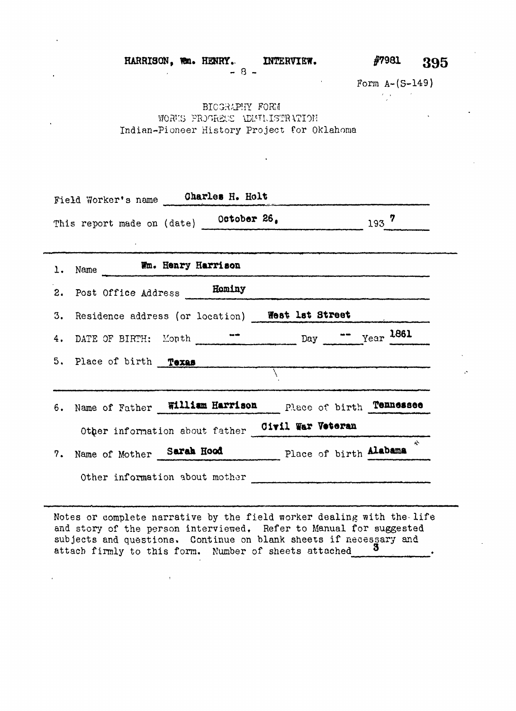| HARRISON, WEL. HENRY. INTERVIEW.<br>$-8-$                                                      | #7981<br>395             |
|------------------------------------------------------------------------------------------------|--------------------------|
|                                                                                                | Form $A - (S-149)$       |
| BIOGRAPHY FORM<br>WORKS PROGRESS ADMILISTRATION<br>Indian-Pioneer History Project for Oklahoma |                          |
| Field Worker's name Charles H. Holt                                                            |                          |
| This report made on (date) October 26.                                                         | $193$ $7$                |
| Wm. Henry Harrison<br>Name<br>$\mathbf{1}$ .                                                   |                          |
| Post Office Address Hominy<br>2.                                                               |                          |
| Residence address (or location) West lst Street<br>3.                                          |                          |
|                                                                                                |                          |
| 5. Place of birth Texas                                                                        |                          |
| William Harrison<br>6. Name of Father                                                          | Place of birth Tennessee |
| Other information about father Civil War Veteran                                               |                          |
| Place of birth Alabama<br>Name of Mother Sarah Hood<br>7.                                      | ĄN.                      |
| Other information about mother                                                                 |                          |

Notes or complete narrative by the field worker dealing with the-life and story of the person interviewed. Refer to Manual for suggested subjects and questions. Continue on blank sheets if necessary and<br>ettech firmly to this form. Number of sheets attached. attach firmly to this form. Number of sheets attached

 $\bar{t}$ 

ł,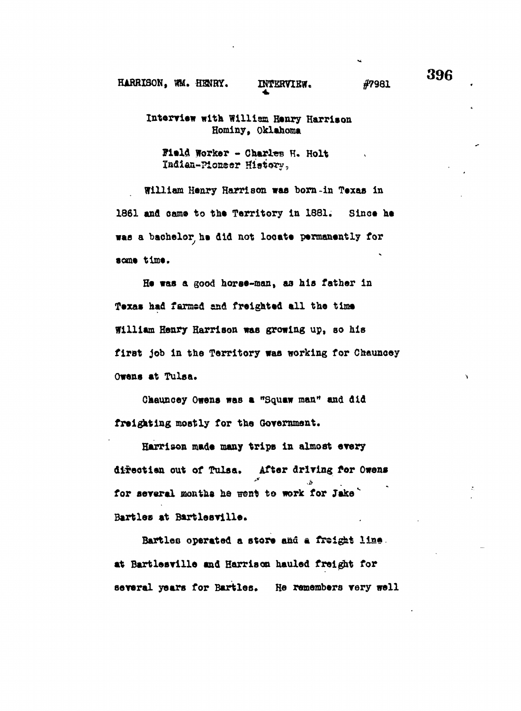## **HARRISON, W . HENRY. INTERVIEW. #7981**

**Interview with Wllllsa Henry Harrison Hominy, Oklahoma**

 $\blacksquare$ 

**Plaid worker - Charles H. Holt Xnfilaa-Pioneer History-**

**William Henry Harrison was born-in Texas in 1861 and cam© to tha Territory in 1681. Slnoa he was a bachelor ha did not looata parmanantly for soma tlma.**

He was a good horse-man, as his father in **Texas had fanssd end freightad all tha time William Henry Harrison was growing up, so his firBt job in the Territory was working for Chaunoey Owena at Tulea.**

**Caauncey Owena was a "Squaw man" and did freighting mostly for the Government.**

**Harrison made many trips in almost every** difectien out of Tulsa. After driving for Owens **for several months ha went to work for Jake" Bartlee at Bartlesvllle.**

Bartles operated a store and a freight line. at Bartlesville and Harrison hauled freight for **several years for Bartlec, He remembers very well**